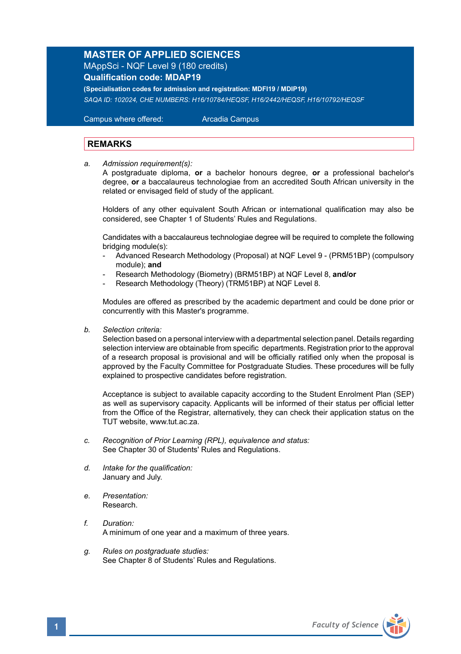## **MASTER OF APPLIED SCIENCES** MAppSci - NQF Level 9 (180 credits)

**Qualification code: MDAP19** 

**(Specialisation codes for admission and registration: MDFI19 / MDIP19)** *SAQA ID: 102024, CHE NUMBERS: H16/10784/HEQSF, H16/2442/HEQSF, H16/10792/HEQSF* 

 Campus where offered: Arcadia Campus

## **REMARKS**

*a. Admission requirement(s):* 

A postgraduate diploma, **or** a bachelor honours degree, **or** a professional bachelor's degree, **or** a baccalaureus technologiae from an accredited South African university in the related or envisaged field of study of the applicant.

 Holders of any other equivalent South African or international qualification may also be considered, see Chapter 1 of Students' Rules and Regulations.

 Candidates with a baccalaureus technologiae degree will be required to complete the following bridging module(s):

- Advanced Research Methodology (Proposal) at NQF Level 9 (PRM51BP) (compulsory module); **and**
- Research Methodology (Biometry) (BRM51BP) at NQF Level 8, **and/or**
- Research Methodology (Theory) (TRM51BP) at NQF Level 8.

Modules are offered as prescribed by the academic department and could be done prior or concurrently with this Master's programme.

*b. Selection criteria:*

Selection based on a personal interview with a departmental selection panel. Details regarding selection interview are obtainable from specific departments. Registration prior to the approval of a research proposal is provisional and will be officially ratified only when the proposal is approved by the Faculty Committee for Postgraduate Studies. These procedures will be fully explained to prospective candidates before registration.

Acceptance is subject to available capacity according to the Student Enrolment Plan (SEP) as well as supervisory capacity. Applicants will be informed of their status per official letter from the Office of the Registrar, alternatively, they can check their application status on the TUT website, www.tut.ac.za.

- *c. Recognition of Prior Learning (RPL), equivalence and status:* See Chapter 30 of Students' Rules and Regulations.
- *d. Intake for the qualification:* January and July.
- *e. Presentation:* Research.
- *f. Duration:*  A minimum of one year and a maximum of three years.
- *g. Rules on postgraduate studies:* See Chapter 8 of Students' Rules and Regulations.